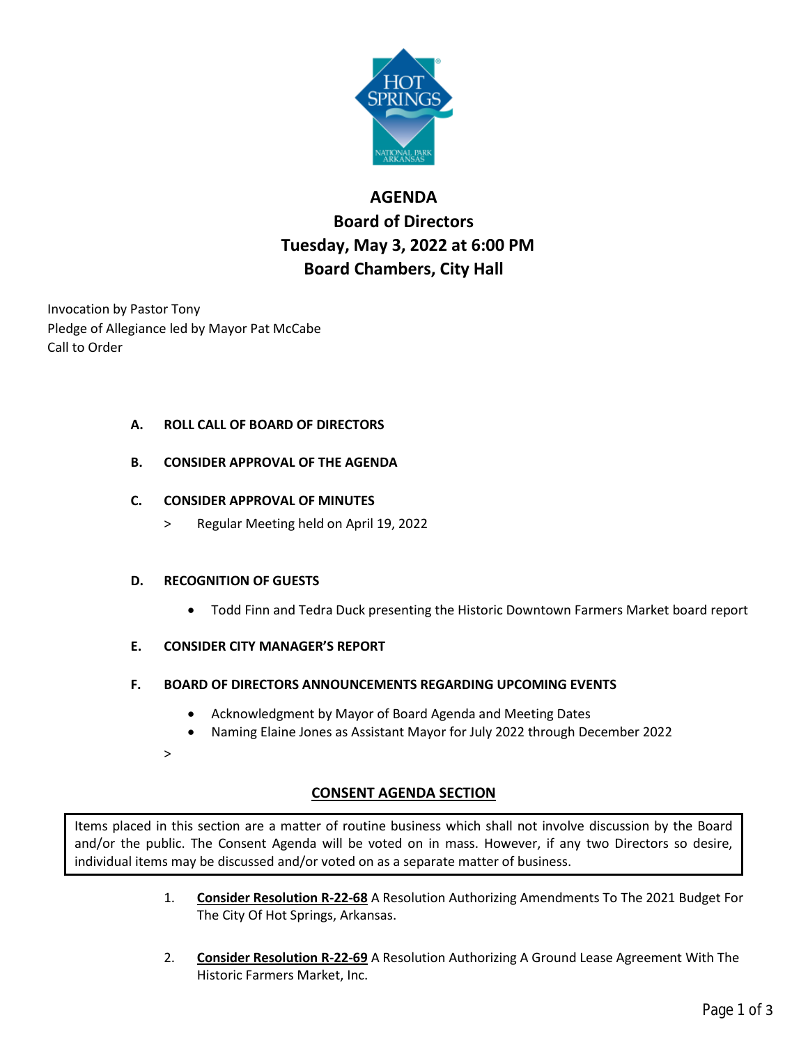

# **AGENDA Board of Directors Tuesday, May 3, 2022 at 6:00 PM Board Chambers, City Hall**

Invocation by Pastor Tony Pledge of Allegiance led by Mayor Pat McCabe Call to Order

# **A. ROLL CALL OF BOARD OF DIRECTORS**

**B. CONSIDER APPROVAL OF THE AGENDA**

# **C. CONSIDER APPROVAL OF MINUTES**

> Regular Meeting held on April 19, 2022

## **D. RECOGNITION OF GUESTS**

- Todd Finn and Tedra Duck presenting the Historic Downtown Farmers Market board report
- **E. CONSIDER CITY MANAGER'S REPORT**
- **F. BOARD OF DIRECTORS ANNOUNCEMENTS REGARDING UPCOMING EVENTS**
	- Acknowledgment by Mayor of Board Agenda and Meeting Dates
	- Naming Elaine Jones as Assistant Mayor for July 2022 through December 2022
	- >

# **CONSENT AGENDA SECTION**

Items placed in this section are a matter of routine business which shall not involve discussion by the Board and/or the public. The Consent Agenda will be voted on in mass. However, if any two Directors so desire, individual items may be discussed and/or voted on as a separate matter of business.

- 1. **Consider Resolution R-22-68** A Resolution Authorizing Amendments To The 2021 Budget For The City Of Hot Springs, Arkansas.
- 2. **Consider Resolution R-22-69** A Resolution Authorizing A Ground Lease Agreement With The Historic Farmers Market, Inc.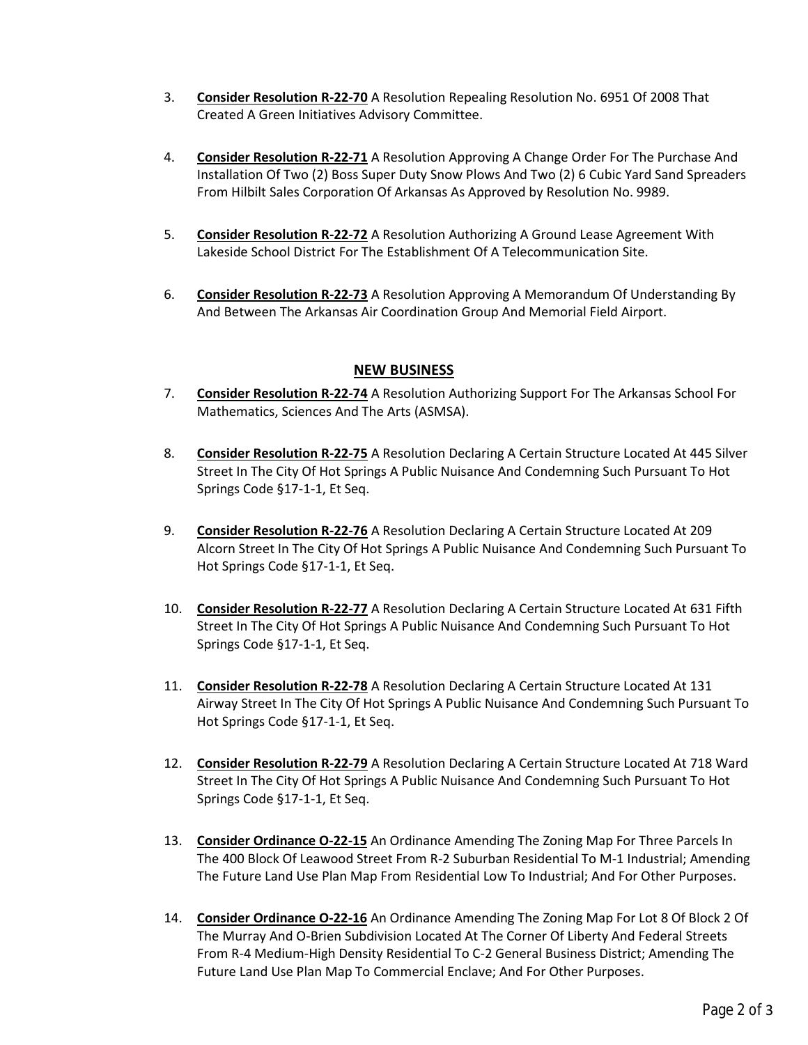- 3. **Consider Resolution R-22-70** A Resolution Repealing Resolution No. 6951 Of 2008 That Created A Green Initiatives Advisory Committee.
- 4. **Consider Resolution R-22-71** A Resolution Approving A Change Order For The Purchase And Installation Of Two (2) Boss Super Duty Snow Plows And Two (2) 6 Cubic Yard Sand Spreaders From Hilbilt Sales Corporation Of Arkansas As Approved by Resolution No. 9989.
- 5. **Consider Resolution R-22-72** A Resolution Authorizing A Ground Lease Agreement With Lakeside School District For The Establishment Of A Telecommunication Site.
- 6. **Consider Resolution R-22-73** A Resolution Approving A Memorandum Of Understanding By And Between The Arkansas Air Coordination Group And Memorial Field Airport.

## **NEW BUSINESS**

- 7. **Consider Resolution R-22-74** A Resolution Authorizing Support For The Arkansas School For Mathematics, Sciences And The Arts (ASMSA).
- 8. **Consider Resolution R-22-75** A Resolution Declaring A Certain Structure Located At 445 Silver Street In The City Of Hot Springs A Public Nuisance And Condemning Such Pursuant To Hot Springs Code §17-1-1, Et Seq.
- 9. **Consider Resolution R-22-76** A Resolution Declaring A Certain Structure Located At 209 Alcorn Street In The City Of Hot Springs A Public Nuisance And Condemning Such Pursuant To Hot Springs Code §17-1-1, Et Seq.
- 10. **Consider Resolution R-22-77** A Resolution Declaring A Certain Structure Located At 631 Fifth Street In The City Of Hot Springs A Public Nuisance And Condemning Such Pursuant To Hot Springs Code §17-1-1, Et Seq.
- 11. **Consider Resolution R-22-78** A Resolution Declaring A Certain Structure Located At 131 Airway Street In The City Of Hot Springs A Public Nuisance And Condemning Such Pursuant To Hot Springs Code §17-1-1, Et Seq.
- 12. **Consider Resolution R-22-79** A Resolution Declaring A Certain Structure Located At 718 Ward Street In The City Of Hot Springs A Public Nuisance And Condemning Such Pursuant To Hot Springs Code §17-1-1, Et Seq.
- 13. **Consider Ordinance O-22-15** An Ordinance Amending The Zoning Map For Three Parcels In The 400 Block Of Leawood Street From R-2 Suburban Residential To M-1 Industrial; Amending The Future Land Use Plan Map From Residential Low To Industrial; And For Other Purposes.
- 14. **Consider Ordinance O-22-16** An Ordinance Amending The Zoning Map For Lot 8 Of Block 2 Of The Murray And O-Brien Subdivision Located At The Corner Of Liberty And Federal Streets From R-4 Medium-High Density Residential To C-2 General Business District; Amending The Future Land Use Plan Map To Commercial Enclave; And For Other Purposes.